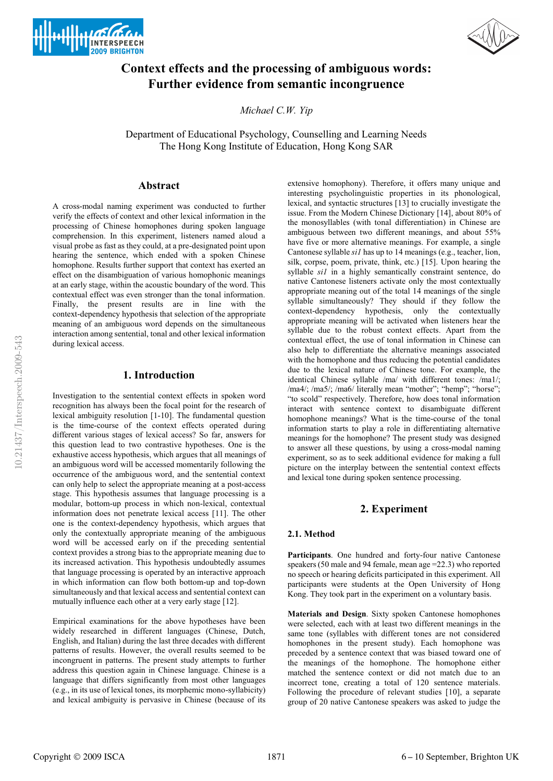



# **Context effects and the processing of ambiguous words: Further evidence from semantic incongruence**

*Michael C.W. Yip* 

Department of Educational Psychology, Counselling and Learning Needs The Hong Kong Institute of Education, Hong Kong SAR

### **Abstract**

A cross-modal naming experiment was conducted to further verify the effects of context and other lexical information in the processing of Chinese homophones during spoken language comprehension. In this experiment, listeners named aloud a visual probe as fast as they could, at a pre-designated point upon hearing the sentence, which ended with a spoken Chinese homophone. Results further support that context has exerted an effect on the disambiguation of various homophonic meanings at an early stage, within the acoustic boundary of the word. This contextual effect was even stronger than the tonal information. Finally, the present results are in line with the context-dependency hypothesis that selection of the appropriate meaning of an ambiguous word depends on the simultaneous interaction among sentential, tonal and other lexical information during lexical access.

#### **1. Introduction**

Investigation to the sentential context effects in spoken word recognition has always been the focal point for the research of lexical ambiguity resolution [1-10]. The fundamental question is the time-course of the context effects operated during different various stages of lexical access? So far, answers for this question lead to two contrastive hypotheses. One is the exhaustive access hypothesis, which argues that all meanings of an ambiguous word will be accessed momentarily following the occurrence of the ambiguous word, and the sentential context can only help to select the appropriate meaning at a post-access stage. This hypothesis assumes that language processing is a modular, bottom-up process in which non-lexical, contextual information does not penetrate lexical access [11]. The other one is the context-dependency hypothesis, which argues that only the contextually appropriate meaning of the ambiguous word will be accessed early on if the preceding sentential context provides a strong bias to the appropriate meaning due to its increased activation. This hypothesis undoubtedly assumes that language processing is operated by an interactive approach in which information can flow both bottom-up and top-down simultaneously and that lexical access and sentential context can mutually influence each other at a very early stage [12].

Empirical examinations for the above hypotheses have been widely researched in different languages (Chinese, Dutch, English, and Italian) during the last three decades with different patterns of results. However, the overall results seemed to be incongruent in patterns. The present study attempts to further address this question again in Chinese language. Chinese is a language that differs significantly from most other languages (e.g., in its use of lexical tones, its morphemic mono-syllabicity) and lexical ambiguity is pervasive in Chinese (because of its extensive homophony). Therefore, it offers many unique and interesting psycholinguistic properties in its phonological, lexical, and syntactic structures [13] to crucially investigate the issue. From the Modern Chinese Dictionary [14], about 80% of the monosyllables (with tonal differentiation) in Chinese are ambiguous between two different meanings, and about 55% have five or more alternative meanings. For example, a single Cantonese syllable *si1* has up to 14 meanings (e.g., teacher, lion, silk, corpse, poem, private, think, etc.) [15]. Upon hearing the syllable *si1* in a highly semantically constraint sentence, do native Cantonese listeners activate only the most contextually appropriate meaning out of the total 14 meanings of the single syllable simultaneously? They should if they follow the context-dependency hypothesis, only the contextually appropriate meaning will be activated when listeners hear the syllable due to the robust context effects. Apart from the contextual effect, the use of tonal information in Chinese can also help to differentiate the alternative meanings associated with the homophone and thus reducing the potential candidates due to the lexical nature of Chinese tone. For example, the identical Chinese syllable /ma/ with different tones: /ma1/; /ma4/; /ma5/; /ma6/ literally mean "mother"; "hemp"; "horse"; "to scold" respectively. Therefore, how does tonal information interact with sentence context to disambiguate different homophone meanings? What is the time-course of the tonal information starts to play a role in differentiating alternative meanings for the homophone? The present study was designed to answer all these questions, by using a cross-modal naming experiment, so as to seek additional evidence for making a full picture on the interplay between the sentential context effects and lexical tone during spoken sentence processing.

## **2. Experiment**

#### **2.1. Method**

**Participants**. One hundred and forty-four native Cantonese speakers (50 male and 94 female, mean age =22.3) who reported no speech or hearing deficits participated in this experiment. All participants were students at the Open University of Hong Kong. They took part in the experiment on a voluntary basis.

**Materials and Design**. Sixty spoken Cantonese homophones were selected, each with at least two different meanings in the same tone (syllables with different tones are not considered homophones in the present study). Each homophone was preceded by a sentence context that was biased toward one of the meanings of the homophone. The homophone either matched the sentence context or did not match due to an incorrect tone, creating a total of 120 sentence materials. Following the procedure of relevant studies [10], a separate group of 20 native Cantonese speakers was asked to judge the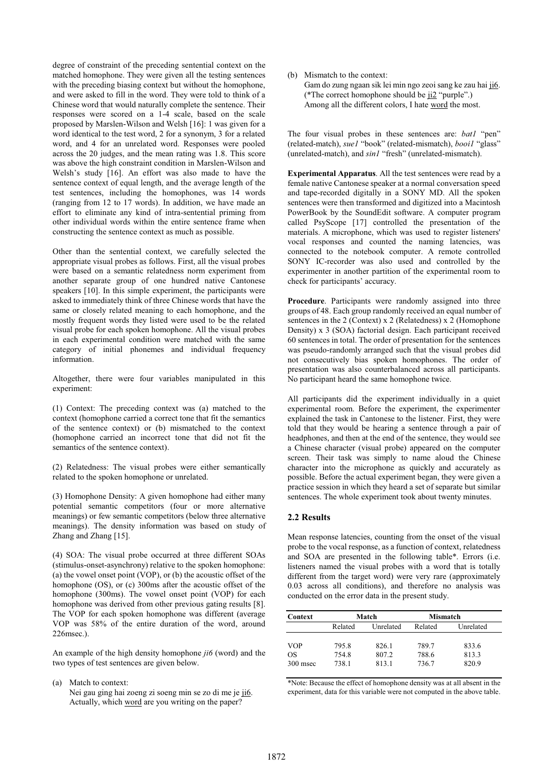degree of constraint of the preceding sentential context on the matched homophone. They were given all the testing sentences with the preceding biasing context but without the homophone, and were asked to fill in the word. They were told to think of a Chinese word that would naturally complete the sentence. Their responses were scored on a 1-4 scale, based on the scale proposed by Marslen-Wilson and Welsh [16]: 1 was given for a word identical to the test word, 2 for a synonym, 3 for a related word, and 4 for an unrelated word. Responses were pooled across the 20 judges, and the mean rating was 1.8. This score was above the high constraint condition in Marslen-Wilson and Welsh's study [16]. An effort was also made to have the sentence context of equal length, and the average length of the test sentences, including the homophones, was 14 words (ranging from 12 to 17 words). In addition, we have made an effort to eliminate any kind of intra-sentential priming from other individual words within the entire sentence frame when constructing the sentence context as much as possible.

Other than the sentential context, we carefully selected the appropriate visual probes as follows. First, all the visual probes were based on a semantic relatedness norm experiment from another separate group of one hundred native Cantonese speakers [10]. In this simple experiment, the participants were asked to immediately think of three Chinese words that have the same or closely related meaning to each homophone, and the mostly frequent words they listed were used to be the related visual probe for each spoken homophone. All the visual probes in each experimental condition were matched with the same category of initial phonemes and individual frequency information.

Altogether, there were four variables manipulated in this experiment:

(1) Context: The preceding context was (a) matched to the context (homophone carried a correct tone that fit the semantics of the sentence context) or (b) mismatched to the context (homophone carried an incorrect tone that did not fit the semantics of the sentence context).

(2) Relatedness: The visual probes were either semantically related to the spoken homophone or unrelated.

(3) Homophone Density: A given homophone had either many potential semantic competitors (four or more alternative meanings) or few semantic competitors (below three alternative meanings). The density information was based on study of Zhang and Zhang [15].

(4) SOA: The visual probe occurred at three different SOAs (stimulus-onset-asynchrony) relative to the spoken homophone: (a) the vowel onset point (VOP), or (b) the acoustic offset of the homophone (OS), or (c) 300ms after the acoustic offset of the homophone (300ms). The vowel onset point (VOP) for each homophone was derived from other previous gating results [8]. The VOP for each spoken homophone was different (average VOP was 58% of the entire duration of the word, around 226msec.).

An example of the high density homophone *ji6* (word) and the two types of test sentences are given below.

(a) Match to context: Nei gau ging hai zoeng zi soeng min se zo di me je ji6. Actually, which word are you writing on the paper?

(b) Mismatch to the context:

Gam do zung ngaan sik lei min ngo zeoi sang ke zau hai ji6. (\*The correct homophone should be ji2 "purple".) Among all the different colors, I hate word the most.

The four visual probes in these sentences are: *bat1* "pen" (related-match), *sue1* "book" (related-mismatch), *booi1* "glass" (unrelated-match), and *sin1* "fresh" (unrelated-mismatch).

**Experimental Apparatus**. All the test sentences were read by a female native Cantonese speaker at a normal conversation speed and tape-recorded digitally in a SONY MD. All the spoken sentences were then transformed and digitized into a Macintosh PowerBook by the SoundEdit software. A computer program called PsyScope [17] controlled the presentation of the materials. A microphone, which was used to register listeners' vocal responses and counted the naming latencies, was connected to the notebook computer. A remote controlled SONY IC-recorder was also used and controlled by the experimenter in another partition of the experimental room to check for participants' accuracy.

**Procedure**. Participants were randomly assigned into three groups of 48. Each group randomly received an equal number of sentences in the 2 (Context) x 2 (Relatedness) x 2 (Homophone Density) x 3 (SOA) factorial design. Each participant received 60 sentences in total. The order of presentation for the sentences was pseudo-randomly arranged such that the visual probes did not consecutively bias spoken homophones. The order of presentation was also counterbalanced across all participants. No participant heard the same homophone twice.

All participants did the experiment individually in a quiet experimental room. Before the experiment, the experimenter explained the task in Cantonese to the listener. First, they were told that they would be hearing a sentence through a pair of headphones, and then at the end of the sentence, they would see a Chinese character (visual probe) appeared on the computer screen. Their task was simply to name aloud the Chinese character into the microphone as quickly and accurately as possible. Before the actual experiment began, they were given a practice session in which they heard a set of separate but similar sentences. The whole experiment took about twenty minutes.

## **2.2 Results**

Mean response latencies, counting from the onset of the visual probe to the vocal response, as a function of context, relatedness and SOA are presented in the following table\*. Errors (i.e. listeners named the visual probes with a word that is totally different from the target word) were very rare (approximately 0.03 across all conditions), and therefore no analysis was conducted on the error data in the present study.

| Context    | Match   |           | Mismatch |           |
|------------|---------|-----------|----------|-----------|
|            | Related | Unrelated | Related  | Unrelated |
| <b>VOP</b> | 795.8   | 826.1     | 789.7    | 833.6     |
| OS         | 754.8   | 807.2     | 788.6    | 813.3     |
| $300$ msec | 738.1   | 813.1     | 736.7    | 820.9     |

\*Note: Because the effect of homophone density was at all absent in the experiment, data for this variable were not computed in the above table.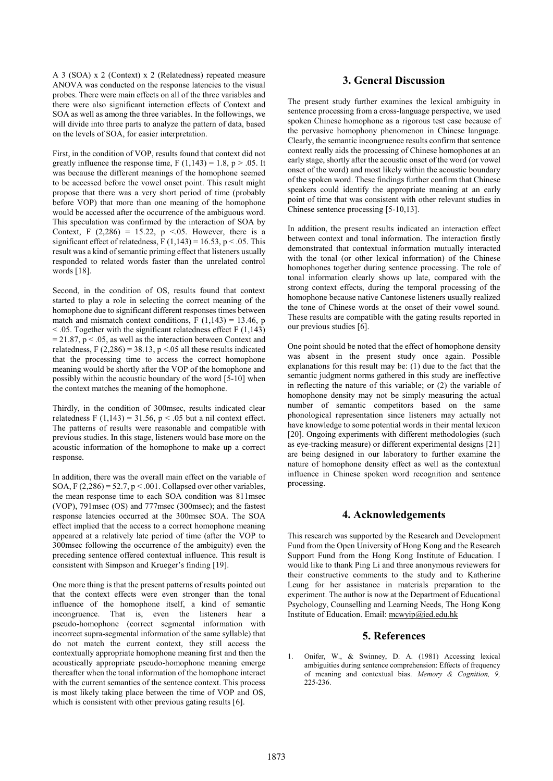A 3 (SOA) x 2 (Context) x 2 (Relatedness) repeated measure ANOVA was conducted on the response latencies to the visual probes. There were main effects on all of the three variables and there were also significant interaction effects of Context and SOA as well as among the three variables. In the followings, we will divide into three parts to analyze the pattern of data, based on the levels of SOA, for easier interpretation.

First, in the condition of VOP, results found that context did not greatly influence the response time,  $F(1,143) = 1.8$ ,  $p > .05$ . It was because the different meanings of the homophone seemed to be accessed before the vowel onset point. This result might propose that there was a very short period of time (probably before VOP) that more than one meaning of the homophone would be accessed after the occurrence of the ambiguous word. This speculation was confirmed by the interaction of SOA by Context, F  $(2,286) = 15.22$ , p <05. However, there is a significant effect of relatedness,  $F(1,143) = 16.53$ ,  $p < .05$ . This result was a kind of semantic priming effect that listeners usually responded to related words faster than the unrelated control words [18].

Second, in the condition of OS, results found that context started to play a role in selecting the correct meaning of the homophone due to significant different responses times between match and mismatch context conditions,  $F(1,143) = 13.46$ , p  $<$  0.05. Together with the significant relatedness effect F (1,143)  $= 21.87$ ,  $p < .05$ , as well as the interaction between Context and relatedness, F  $(2,286) = 38.13$ , p <.05 all these results indicated that the processing time to access the correct homophone meaning would be shortly after the VOP of the homophone and possibly within the acoustic boundary of the word [5-10] when the context matches the meaning of the homophone.

Thirdly, in the condition of 300msec, results indicated clear relatedness F (1,143) = 31.56,  $p < .05$  but a nil context effect. The patterns of results were reasonable and compatible with previous studies. In this stage, listeners would base more on the acoustic information of the homophone to make up a correct response.

In addition, there was the overall main effect on the variable of SOA, F  $(2,286) = 52.7$ , p < .001. Collapsed over other variables, the mean response time to each SOA condition was 811msec (VOP), 791msec (OS) and 777msec (300msec); and the fastest response latencies occurred at the 300msec SOA. The SOA effect implied that the access to a correct homophone meaning appeared at a relatively late period of time (after the VOP to 300msec following the occurrence of the ambiguity) even the preceding sentence offered contextual influence. This result is consistent with Simpson and Krueger's finding [19].

One more thing is that the present patterns of results pointed out that the context effects were even stronger than the tonal influence of the homophone itself, a kind of semantic incongruence. That is, even the listeners hear a pseudo-homophone (correct segmental information with incorrect supra-segmental information of the same syllable) that do not match the current context, they still access the contextually appropriate homophone meaning first and then the acoustically appropriate pseudo-homophone meaning emerge thereafter when the tonal information of the homophone interact with the current semantics of the sentence context. This process is most likely taking place between the time of VOP and OS, which is consistent with other previous gating results [6].

## **3. General Discussion**

The present study further examines the lexical ambiguity in sentence processing from a cross-language perspective, we used spoken Chinese homophone as a rigorous test case because of the pervasive homophony phenomenon in Chinese language. Clearly, the semantic incongruence results confirm that sentence context really aids the processing of Chinese homophones at an early stage, shortly after the acoustic onset of the word (or vowel onset of the word) and most likely within the acoustic boundary of the spoken word. These findings further confirm that Chinese speakers could identify the appropriate meaning at an early point of time that was consistent with other relevant studies in Chinese sentence processing [5-10,13].

In addition, the present results indicated an interaction effect between context and tonal information. The interaction firstly demonstrated that contextual information mutually interacted with the tonal (or other lexical information) of the Chinese homophones together during sentence processing. The role of tonal information clearly shows up late, compared with the strong context effects, during the temporal processing of the homophone because native Cantonese listeners usually realized the tone of Chinese words at the onset of their vowel sound. These results are compatible with the gating results reported in our previous studies [6].

One point should be noted that the effect of homophone density was absent in the present study once again. Possible explanations for this result may be: (1) due to the fact that the semantic judgment norms gathered in this study are ineffective in reflecting the nature of this variable; or (2) the variable of homophone density may not be simply measuring the actual number of semantic competitors based on the same phonological representation since listeners may actually not have knowledge to some potential words in their mental lexicon [20]. Ongoing experiments with different methodologies (such as eye-tracking measure) or different experimental designs [21] are being designed in our laboratory to further examine the nature of homophone density effect as well as the contextual influence in Chinese spoken word recognition and sentence processing.

#### **4. Acknowledgements**

This research was supported by the Research and Development Fund from the Open University of Hong Kong and the Research Support Fund from the Hong Kong Institute of Education. I would like to thank Ping Li and three anonymous reviewers for their constructive comments to the study and to Katherine Leung for her assistance in materials preparation to the experiment. The author is now at the Department of Educational Psychology, Counselling and Learning Needs, The Hong Kong Institute of Education. Email: mcwyip@ied.edu.hk

## **5. References**

Onifer, W., & Swinney, D. A. (1981) Accessing lexical ambiguities during sentence comprehension: Effects of frequency of meaning and contextual bias. *Memory & Cognition, 9,* 225-236.